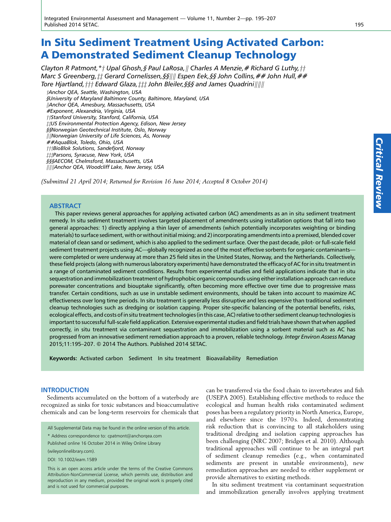# In Situ Sediment Treatment Using Activated Carbon: A Demonstrated Sediment Cleanup Technology

Clayton R Patmont,  $*_\dagger$  Upal Ghosh, § Paul LaRosa, || Charles A Menzie, # Richard G Luthy,  $\dagger \dagger$ Marc S Greenberg,  $\sharp \sharp$  Gerard Cornelissen, §§|||| Espen Eek, §§ John Collins, ## John Hull, ## Tore Hjartland,  $\frac{1}{t}$  Edward Glaza,  $\frac{1}{t}$  John Bleiler, §§§ and James Quadrini $\|$ |||||

tAnchor QEA, Seattle, Washington, USA §University of Maryland Baltimore County, Baltimore, Maryland, USA ||Anchor QEA, Amesbury, Massachusetts, USA #Exponent, Alexandria, Virginia, USA tiStanford University, Stanford, California, USA  $\ddagger\sharp US$  Environmental Protection Agency, Edison, New Jersey §§Norwegian Geotechnical Institute, Oslo, Norway  $\|$ ||Norwegian University of Life Sciences,  $\AA$ s, Norway ##AquaBlok, Toledo, Ohio, USA  $\dag$ †BioBlok Solutions, Sandefjord, Norway tttParsons, Syracuse, New York, USA §§§AECOM, Chelmsford, Massachusetts, USA |||||Anchor QEA, Woodcliff Lake, New Jersey, USA

(Submitted 21 April 2014; Returned for Revision 16 June 2014; Accepted 8 October 2014)

# **ABSTRACT**

This paper reviews general approaches for applying activated carbon (AC) amendments as an in situ sediment treatment remedy. In situ sediment treatment involves targeted placement of amendments using installation options that fall into two general approaches: 1) directly applying a thin layer of amendments (which potentially incorporates weighting or binding materials) to surface sediment, with or without initial mixing; and 2) incorporating amendments into a premixed, blended cover material of clean sand or sediment, which is also applied to the sediment surface. Over the past decade, pilot- or full-scale field sediment treatment projects using AC—globally recognized as one of the most effective sorbents for organic contaminantswere completed or were underway at more than 25 field sites in the United States, Norway, and the Netherlands. Collectively, these field projects (along with numerous laboratory experiments) have demonstrated the efficacy of AC for in situ treatment in a range of contaminated sediment conditions. Results from experimental studies and field applications indicate that in situ sequestration and immobilization treatment of hydrophobic organic compounds using either installation approach can reduce porewater concentrations and biouptake significantly, often becoming more effective over time due to progressive mass transfer. Certain conditions, such as use in unstable sediment environments, should be taken into account to maximize AC effectiveness over long time periods. In situ treatment is generally less disruptive and less expensive than traditional sediment cleanup technologies such as dredging or isolation capping. Proper site-specific balancing of the potential benefits, risks, ecological effects, and costs of in situ treatment technologies (in this case, AC) relative to other sediment cleanup technologies is important to successful full-scale field application. Extensive experimental studies and field trials have shown that when applied correctly, in situ treatment via contaminant sequestration and immobilization using a sorbent material such as AC has progressed from an innovative sediment remediation approach to a proven, reliable technology. Integr Environ Assess Manag 2015;11:195–207. © 2014 The Authors. Published 2014 SETAC.

Keywords: Activated carbon Sediment In situ treatment Bioavailability Remediation

#### INTRODUCTION

Sediments accumulated on the bottom of a waterbody are recognized as sinks for toxic substances and bioaccumulative chemicals and can be long-term reservoirs for chemicals that

All Supplemental Data may be found in the online version of this article.

\* Address correspondence to: cpatmont@anchorqea.com

Published online 16 October 2014 in Wiley Online Library

(wileyonlinelibrary.com).

DOI: 10.1002/ieam.1589

This is an open access article under the terms of the [Creative Commons](http://creativecommons.org/licenses/by-nc/4.0/) [Attribution-NonCommercial](http://creativecommons.org/licenses/by-nc/4.0/) License, which permits use, distribution and reproduction in any medium, provided the original work is properly cited and is not used for commercial purposes.

can be transferred via the food chain to invertebrates and fish (USEPA 2005). Establishing effective methods to reduce the ecological and human health risks contaminated sediment poses has been a regulatory priority in North America, Europe, and elsewhere since the 1970 s. Indeed, demonstrating risk reduction that is convincing to all stakeholders using traditional dredging and isolation capping approaches has been challenging (NRC 2007; Bridges et al. 2010). Although traditional approaches will continue to be an integral part of sediment cleanup remedies (e.g., when contaminated sediments are present in unstable environments), new remediation approaches are needed to either supplement or provide alternatives to existing methods.

In situ sediment treatment via contaminant sequestration and immobilization generally involves applying treatment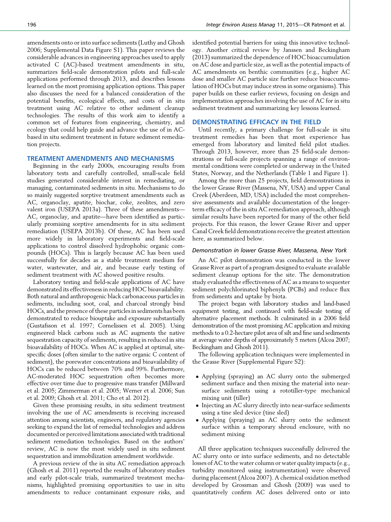amendments onto or into surface sediments (Luthy and Ghosh 2006; Supplemental Data Figure S1). This paper reviews the considerable advances in engineering approaches used to apply activated C (AC)-based treatment amendments in situ, summarizes field-scale demonstration pilots and full-scale applications performed through 2013, and describes lessons learned on the most promising application options. This paper also discusses the need for a balanced consideration of the potential benefits, ecological effects, and costs of in situ treatment using AC relative to other sediment cleanup technologies. The results of this work aim to identify a common set of features from engineering, chemistry, and ecology that could help guide and advance the use of in ACbased in situ sediment treatment in future sediment remediation projects.

## TREATMENT AMENDMENTS AND MECHANISMS

Beginning in the early 2000s, encouraging results from laboratory tests and carefully controlled, small-scale field studies generated considerable interest in remediating, or managing, contaminated sediments in situ. Mechanisms to do so mainly suggested sorptive treatment amendments such as AC, organoclay, apatite, biochar, coke, zeolites, and zero valent iron (USEPA 2013a). Three of these amendments— AC, organoclay, and apatite—have been identified as particularly promising sorptive amendments for in situ sediment remediation (USEPA 2013b). Of these, AC has been used more widely in laboratory experiments and field-scale applications to control dissolved hydrophobic organic compounds (HOCs). This is largely because AC has been used successfully for decades as a stable treatment medium for water, wastewater, and air, and because early testing of sediment treatment with AC showed positive results.

Laboratory testing and field-scale applications of AC have demonstrated its effectiveness in reducing HOC bioavailability. Both natural and anthropogenic black carbonaceous particles in sediments, including soot, coal, and charcoal strongly bind HOCs, and the presence of these particles in sediments has been demonstrated to reduce biouptake and exposure substantially (Gustafsson et al. 1997; Cornelissen et al. 2005). Using engineered black carbons such as AC augments the native sequestration capacity of sediments, resulting in reduced in situ bioavailability of HOCs. When AC is applied at optimal, sitespecific doses (often similar to the native organic C content of sediment), the porewater concentrations and bioavailability of HOCs can be reduced between 70% and 99%. Furthermore, AC-moderated HOC sequestration often becomes more effective over time due to progressive mass transfer (Millward et al. 2005; Zimmerman et al. 2005; Werner et al. 2006; Sun et al. 2009; Ghosh et al. 2011; Cho et al. 2012).

Given these promising results, in situ sediment treatment involving the use of AC amendments is receiving increased attention among scientists, engineers, and regulatory agencies seeking to expand the list of remedial technologies and address documented or perceived limitations associated with traditional sediment remediation technologies. Based on the authors' review, AC is now the most widely used in situ sediment sequestration and immobilization amendment worldwide.

A previous review of the in situ AC remediation approach (Ghosh et al. 2011) reported the results of laboratory studies and early pilot-scale trials, summarized treatment mechanisms, highlighted promising opportunities to use in situ amendments to reduce contaminant exposure risks, and identified potential barriers for using this innovative technology. Another critical review by Janssen and Beckingham (2013) summarized the dependence of HOC bioaccumulation on AC dose and particle size, as well as the potential impacts of AC amendments on benthic communities (e.g., higher AC dose and smaller AC particle size further reduce bioaccumulation of HOCs but may induce stress in some organisms). This paper builds on these earlier reviews, focusing on design and implementation approaches involving the use of AC for in situ sediment treatment and summarizing key lessons learned.

#### DEMONSTRATING EFFICACY IN THE FIELD

Until recently, a primary challenge for full-scale in situ treatment remedies has been that most experience has emerged from laboratory and limited field pilot studies. Through 2013, however, more than 25 field-scale demonstrations or full-scale projects spanning a range of environmental conditions were completed or underway in the United States, Norway, and the Netherlands (Table 1 and Figure 1).

Among the more than 25 projects, field demonstrations in the lower Grasse River (Massena, NY, USA) and upper Canal Creek (Aberdeen, MD, USA) included the most comprehensive assessments and available documentation of the longerterm efficacy of the in situ AC remediation approach, although similar results have been reported for many of the other field projects. For this reason, the lower Grasse River and upper Canal Creek field demonstrations receive the greatest attention here, as summarized below.

# Demonstration in lower Grasse River, Massena, New York

An AC pilot demonstration was conducted in the lower Grasse River as part of a program designed to evaluate available sediment cleanup options for the site. The demonstration study evaluated the effectiveness of AC as a means to sequester sediment polychlorinated biphenyls (PCBs) and reduce flux from sediments and uptake by biota.

The project began with laboratory studies and land-based equipment testing, and continued with field-scale testing of alternative placement methods. It culminated in a 2006 field demonstration of the most promising AC application and mixing methods to a 0.2-hectare pilot area of silt and fine sand sediments at average water depths of approximately 5 meters (Alcoa 2007; Beckingham and Ghosh 2011).

The following application techniques were implemented in the Grasse River (Supplemental Figure S2):

- Applying (spraying) an AC slurry onto the submerged sediment surface and then mixing the material into nearsurface sediments using a rototiller-type mechanical mixing unit (tiller)
- Injecting an AC slurry directly into near-surface sediments using a tine sled device (tine sled)
- Applying (spraying) an AC slurry onto the sediment surface within a temporary shroud enclosure, with no sediment mixing

All three application techniques successfully delivered the AC slurry onto or into surface sediments, and no detectable losses of AC to the water column or water quality impacts (e.g., turbidity monitored using instrumentation) were observed during placement (Alcoa 2007). A chemical oxidation method developed by Grossman and Ghosh (2009) was used to quantitatively confirm AC doses delivered onto or into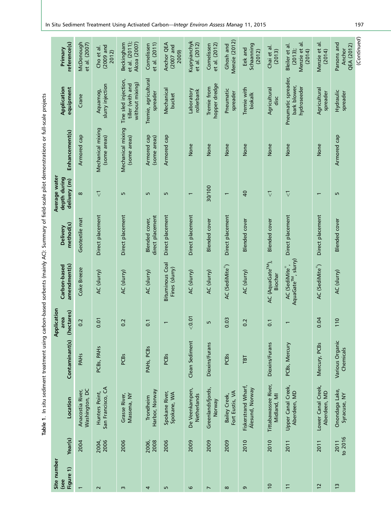Table 1. In situ sediment treatment using carbon-based sorbents (mainly AC): Summary of field-scale pilot demonstrations or full-scale projects Table 1. In situ sediment treatment using carbon-based sorbents (mainly AC): Summary of field-scale pilot demonstrations or full-scale projects

|                                               |                                    |                                     |                                                             |                                     |                                    |                               |                              |                                  |                                        |                                          | $\overline{5}$                                                  | $\overline{a}$                     |                                            |             |
|-----------------------------------------------|------------------------------------|-------------------------------------|-------------------------------------------------------------|-------------------------------------|------------------------------------|-------------------------------|------------------------------|----------------------------------|----------------------------------------|------------------------------------------|-----------------------------------------------------------------|------------------------------------|--------------------------------------------|-------------|
| reference(s)<br>Primary                       | McDonough<br>et al. (2007)         | $(2009$ and<br>Cho et al<br>2012)   | et al. (2011);<br>Alcoa (2007)<br>Beckingham                | et al. (2011)<br>Cornelissen        | Anchor QEA<br>$(2007$ and<br>2009) | Kupryianchyk<br>et al. (2012) | et al. (2012)<br>Cornelissen | Menzie (2012)<br>Ghosh and       | Schaanning<br>Eek and<br>(2012)        | Chai et al.<br>(2013)                    | Bleiler et al<br>Menzie et<br>$(2013)$ ;<br>(2014)              | Menzie et<br>(2014)                | Parsons and<br><b>QEA (2012)</b><br>Anchor | (Continued) |
| Application<br>equipment                      | Crane                              | slurry injection<br>Aquamog,        | Tine sled injection,<br>without mixing)<br>tiller (with and | Tremie, agricultural<br>spreader    | Mechanical<br>bucket               | Laboratory<br>rollerbank      | hopper dredge<br>Tremie from | Pneumatic<br>spreader            | Tremie with<br>biokalk                 | Agricultural<br>disc                     | Pneumatic spreader,<br>bark blower,<br>hydroseeder              | Agricultural<br>spreader           | Hydraulic<br>spreader                      |             |
| Enhancement(s)                                | Armored cap                        | Mechanical mixing<br>(some areas)   | Mechanical mixing<br>(some areas)                           | Armored cap<br>(some areas)         | Armored cap                        | None                          | None                         | None                             | None                                   | None                                     | None                                                            | None                               | Armored cap                                |             |
| Average water<br>depth during<br>delivery (m) | $\infty$                           | $\overline{\vee}$                   | LO                                                          | LO                                  | Ln                                 | $\overline{\phantom{0}}$      | 30/100                       | $\overline{\phantom{0}}$         | $\overline{a}$                         | $\overline{\vee}$                        | $\overline{\vee}$                                               | $\overline{ }$                     | Б                                          |             |
| method(s)<br>Delivery                         | Geotextile mat                     | Direct placement                    | Direct placement                                            | direct placement<br>Blended cover,  | Direct placement                   | Direct placement              | <b>Blended</b> cover         | Direct placement                 | <b>Blended</b> cover                   | <b>Blended</b> cover                     | Direct placement                                                | Direct placement                   | <b>Blended</b> cover                       |             |
| amendment(s)<br>Carbon-based                  | Coke Breeze                        | AC (slurry)                         | AC (slurry)                                                 | AC (slurry)                         | Bituminous Coal<br>Fines (slurry)  | AC (slurry)                   | AC (slurry)                  | AC (SediMite®)                   | AC (slurry)                            | AC (AquaGate <sup>TM</sup> ),<br>Biochar | AquaGate <sup>TM</sup> , slurry)<br>AC (SediMite <sup>®</sup> , | AC (SediMite <sup>®</sup> )        | AC (slurry)                                |             |
| Application<br>hectares)<br>area              | 0.2                                | 0.01                                | 0.2                                                         | $\overline{0}$ .                    |                                    | < 0.01                        | Б                            | 0.03                             | 0.2                                    | $\overline{0}$                           |                                                                 | 0.04                               | 110                                        |             |
| Contaminant(s)                                | <b>PAHs</b>                        | PCB <sub>S</sub> , PAH <sub>S</sub> | <b>PCBs</b>                                                 | PAH <sub>S</sub> , PCB <sub>S</sub> | PCBs                               | Clean Sediment                | Dioxins/Furans               | PCB <sub>S</sub>                 | TBT                                    | Dioxins/Furans                           | PCBs, Mercury                                                   | Mercury, PCBs                      | Various Organic<br>Chemicals               |             |
| Location                                      | Washington, DC<br>Anacostia River, | San Francisco, CA<br>Hunters Point, | Massena, NY<br>Grasse River,                                | Harbor, Norway<br>Trondheim         | Spokane River,<br>Spokane, WA      | De Veenkampen,<br>Netherlands | Greenlandsfjords,<br>Norway  | Fort Eustis, VA<br>Bailey Creek, | Fiskerstrand Wharf,<br>Ålesund, Norway | Tittabawassee River,<br>Midland, MI      | Upper Canal Creek,<br>Aberdeen, MD                              | Lower Canal Creek,<br>Aberdeen, MD | Onondaga Lake,<br>Syracuse, NY             |             |
| Year(s)                                       | 2004                               | 2004,<br>2006                       | 2006                                                        | 2006,<br>2008                       | 2006                               | 2009                          | 2009                         | 2009                             | 2010                                   | 2010                                     | 2011                                                            | 2011                               | to 2016<br>2011                            |             |
| Site number<br>Figure 1)<br>(see              |                                    | $\sim$                              | $\sim$                                                      | 4                                   | S                                  | 6                             | r                            | $\infty$                         | G                                      | $\overline{10}$                          | $\overline{1}$                                                  | 12                                 | $\tilde{c}$                                |             |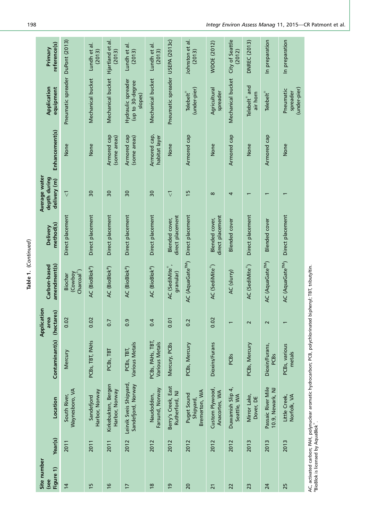AC, activated carbon; PAH, polynuclear aromatic hydrocarbon; PCB, polychlorinated biphenyl; TBT, tributyltin.<br><sup>a</sup>BioBlok is licensed by AquaBlok ဳ. AC, activated carbon; PAH, polynuclear aromatic hydrocarbon; PCB, polychlorinated biphenyl; TBT, tributyltin.  $^{\circ}$ BioBlok is licensed by AquaBlok $^{\circ}$ .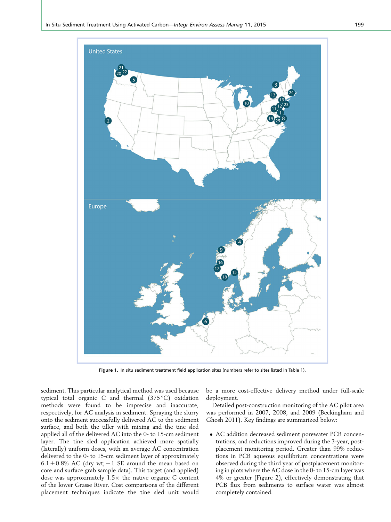

Figure 1. In situ sediment treatment field application sites (numbers refer to sites listed in Table 1).

sediment. This particular analytical method was used because typical total organic C and thermal (375 °C) oxidation methods were found to be imprecise and inaccurate, respectively, for AC analysis in sediment. Spraying the slurry onto the sediment successfully delivered AC to the sediment surface, and both the tiller with mixing and the tine sled applied all of the delivered AC into the 0- to 15-cm sediment layer. The tine sled application achieved more spatially (laterally) uniform doses, with an average AC concentration delivered to the 0- to 15-cm sediment layer of approximately  $6.1 \pm 0.8\%$  AC (dry wt;  $\pm 1$  SE around the mean based on core and surface grab sample data). This target (and applied) dose was approximately  $1.5\times$  the native organic C content of the lower Grasse River. Cost comparisons of the different placement techniques indicate the tine sled unit would be a more cost-effective delivery method under full-scale deployment.

Detailed post-construction monitoring of the AC pilot area was performed in 2007, 2008, and 2009 (Beckingham and Ghosh 2011). Key findings are summarized below:

- AC addition decreased sediment porewater PCB concentrations, and reductions improved during the 3-year, postplacement monitoring period. Greater than 99% reductions in PCB aqueous equilibrium concentrations were observed during the third year of postplacement monitoring in plots where the AC dose in the 0- to 15-cm layer was 4% or greater (Figure 2), effectively demonstrating that PCB flux from sediments to surface water was almost completely contained.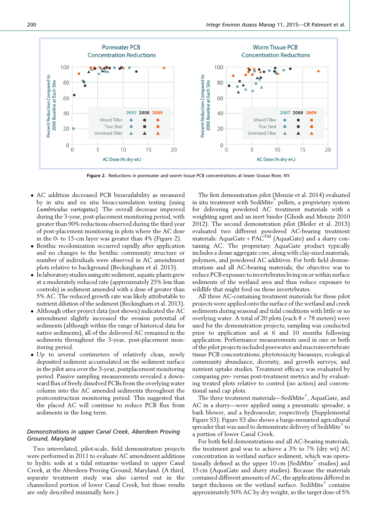

Figure 2. Reductions in porewater and worm tissue PCB concentrations at lower Grasse River, NY.

- AC addition decreased PCB bioavailability as measured by in situ and ex situ bioaccumulation testing (using Lumbriculus variegatus). The overall decrease improved during the 3-year, post-placement monitoring period, with greater than 90% reductions observed during the third year of post-placement monitoring in plots where the AC dose in the 0- to 15-cm layer was greater than 4% (Figure 2).
- Benthic recolonization occurred rapidly after application and no changes to the benthic community structure or number of individuals were observed in AC amendment plots relative to background (Beckingham et al. 2013).
- In laboratory studies using site sediment, aquatic plants grew at a moderately reduced rate (approximately 25% less than controls) in sediment amended with a dose of greater than 5% AC. The reduced growth rate was likely attributable to nutrient dilution of the sediment (Beckingham et al. 2013).
- Although other project data (not shown) indicated the AC amendment slightly increased the erosion potential of sediments (although within the range of historical data for native sediments), all of the delivered AC remained in the sediments throughout the 3-year, post-placement monitoring period.
- Up to several centimeters of relatively clean, newly deposited sediment accumulated on the sediment surface in the pilot area over the 3-year, postplacement monitoring period. Passive sampling measurements revealed a downward flux of freely dissolved PCBs from the overlying water column into the AC amended sediments throughout the postconstruction monitoring period. This suggested that the placed AC will continue to reduce PCB flux from sediments in the long term.

# Demonstrations in upper Canal Creek, Aberdeen Proving Ground, Maryland

Two interrelated, pilot-scale, field demonstration projects were performed in 2011 to evaluate AC amendment additions to hydric soils at a tidal estuarine wetland in upper Canal Creek, at the Aberdeen Proving Ground, Maryland. (A third, separate treatment study was also carried out in the channelized portion of lower Canal Creek, but those results are only described minimally here.)

The first demonstration pilot (Menzie et al. 2014) evaluated in situ treatment with SediMite® pellets, a proprietary system for delivering powdered AC treatment materials with a weighting agent and an inert binder (Ghosh and Menzie 2010 2012). The second demonstration pilot (Bleiler et al. 2013) evaluated two different powdered AC-bearing treatment materials: AquaGate +  $PAC^{TM}$  (AquaGate) and a slurry containing AC. The proprietary AquaGate product typically includes a dense aggregate core, along with clay-sized materials, polymers, and powdered AC additives. For both field demonstrations and all AC-bearing materials, the objective was to reduce PCB exposure to invertebrates living on or within surface sediments of the wetland area and thus reduce exposure to wildlife that might feed on these invertebrates.

All three AC-containing treatment materials for these pilot projects were applied onto the surface of the wetland and creek sediments during seasonal and tidal conditions with little or no overlying water. A total of 20 plots (each  $8 \times 78$  meters) were used for the demonstration projects; sampling was conducted prior to application and at 6 and 10 months following application. Performance measurements used in one or both of the pilot projects included porewater and macroinvertebrate tissue PCB concentrations; phytotoxicity bioassays; ecological community abundance, diversity, and growth surveys; and nutrient uptake studies. Treatment efficacy was evaluated by comparing pre- versus post-treatment metrics and by evaluating treated plots relative to control (no action) and conventional sand cap plots.

The three treatment materials—SediMite $^\text{\tiny{\textregistered}}$ , AquaGate, and AC in a slurry—were applied using a pneumatic spreader, a bark blower, and a hydroseeder, respectively (Supplemental Figure S3). Figure S3 also shows a barge-mounted agricultural spreader that was used to demonstrate delivery of SediMite $^\mathrm{e\!$  to a portion of lower Canal Creek.

For both field demonstrations and all AC-bearing materials, the treatment goal was to achieve a 3% to 7% (dry wt) AC concentration in wetland surface sediment, which was operationally defined as the upper  $10\,\mathrm{cm}$  (SediMite $^\mathrm{e\!}$  studies) and 15 cm (AquaGate and slurry studies). Because the materials contained different amounts of AC, the applications differed in target thickness on the wetland surface. SediMite® contains approximately 50% AC by dry weight, so the target dose of 5%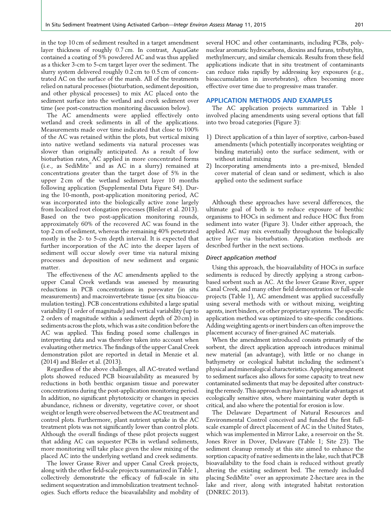in the top 10 cm of sediment resulted in a target amendment layer thickness of roughly 0.7 cm. In contrast, AquaGate contained a coating of 5% powdered AC and was thus applied as a thicker 3-cm to 5-cm target layer over the sediment. The slurry system delivered roughly 0.2 cm to 0.5 cm of concentrated AC on the surface of the marsh. All of the treatments relied on natural processes (bioturbation, sediment deposition, and other physical processes) to mix AC placed onto the sediment surface into the wetland and creek sediment over time (see post-construction monitoring discussion below).

The AC amendments were applied effectively onto wetland and creek sediments in all of the applications. Measurements made over time indicated that close to 100% of the AC was retained within the plots, but vertical mixing into native wetland sediments via natural processes was slower than originally anticipated. As a result of low bioturbation rates, AC applied in more concentrated forms (i.e., as SediMite<sup>®</sup> and as AC in a slurry) remained at concentrations greater than the target dose of 5% in the upper 2 cm of the wetland sediment layer 10 months following application (Supplemental Data Figure S4). During the 10-month, post-application monitoring period, AC was incorporated into the biologically active zone largely from localized root elongation processes (Bleiler et al. 2013). Based on the two post-application monitoring rounds, approximately 60% of the recovered AC was found in the top 2 cm of sediment, whereas the remaining 40% penetrated mostly in the 2- to 5-cm depth interval. It is expected that further incorporation of the AC into the deeper layers of sediment will occur slowly over time via natural mixing processes and deposition of new sediment and organic matter.

The effectiveness of the AC amendments applied to the upper Canal Creek wetlands was assessed by measuring reductions in PCB concentrations in porewater (in situ measurements) and macroinvertebrate tissue (ex situ bioaccumulation testing). PCB concentrations exhibited a large spatial variability (1 order of magnitude) and vertical variability (up to 2 orders of magnitude within a sediment depth of 20 cm) in sediments across the plots, which was a site condition before the AC was applied. This finding posed some challenges in interpreting data and was therefore taken into account when evaluating other metrics. The findings of the upper Canal Creek demonstration pilot are reported in detail in Menzie et al. (2014) and Bleiler et al. (2013).

Regardless of the above challenges, all AC-treated wetland plots showed reduced PCB bioavailability as measured by reductions in both benthic organism tissue and porewater concentrations during the post-application monitoring period. In addition, no significant phytotoxicity or changes in species abundance, richness or diversity, vegetative cover, or shoot weight or length were observed between the AC treatment and control plots. Furthermore, plant nutrient uptake in the AC treatment plots was not significantly lower than control plots. Although the overall findings of these pilot projects suggest that adding AC can sequester PCBs in wetland sediments, more monitoring will take place given the slow mixing of the placed AC into the underlying wetland and creek sediments.

The lower Grasse River and upper Canal Creek projects, along with the other field-scale projects summarized in Table 1, collectively demonstrate the efficacy of full-scale in situ sediment sequestration and immobilization treatment technologies. Such efforts reduce the bioavailability and mobility of several HOC and other contaminants, including PCBs, polynuclear aromatic hydrocarbons, dioxins and furans, tributyltin, methylmercury, and similar chemicals. Results from these field applications indicate that in situ treatment of contaminants can reduce risks rapidly by addressing key exposures (e.g., bioaccumulation in invertebrates), often becoming more effective over time due to progressive mass transfer.

#### APPLICATION METHODS AND EXAMPLES

The AC application projects summarized in Table 1 involved placing amendments using several options that fall into two broad categories (Figure 3):

- 1) Direct application of a thin layer of sorptive, carbon-based amendments (which potentially incorporates weighting or binding materials) onto the surface sediment, with or without initial mixing
- 2) Incorporating amendments into a pre-mixed, blended cover material of clean sand or sediment, which is also applied onto the sediment surface

Although these approaches have several differences, the ultimate goal of both is to reduce exposure of benthic organisms to HOCs in sediment and reduce HOC flux from sediment into water (Figure 3). Under either approach, the applied AC may mix eventually throughout the biologically active layer via bioturbation. Application methods are described further in the next sections.

# Direct application method

Using this approach, the bioavailability of HOCs in surface sediments is reduced by directly applying a strong carbonbased sorbent such as AC. At the lower Grasse River, upper Canal Creek, and many other field demonstration or full-scale projects (Table 1), AC amendment was applied successfully using several methods with or without mixing, weighting agents, inert binders, or other proprietary systems. The specific application method was optimized to site-specific conditions. Adding weighting agents or inert binders can often improve the placement accuracy of finer-grained AC materials.

When the amendment introduced consists primarily of the sorbent, the direct application approach introduces minimal new material (an advantage), with little or no change in bathymetry or ecological habitat including the sediment's physical andmineralogical characteristics. Applying amendment to sediment surfaces also allows for some capacity to treat new contaminated sediments that may be deposited after constructing the remedy. This approach may have particular advantages at ecologically sensitive sites, where maintaining water depth is critical, and also where the potential for erosion is low.

The Delaware Department of Natural Resources and Environmental Control conceived and funded the first fullscale example of direct placement of AC in the United States, which was implemented in Mirror Lake, a reservoir on the St. Jones River in Dover, Delaware (Table 1; Site 23). The sediment cleanup remedy at this site aimed to enhance the sorption capacity of native sediments in the lake, such that PCB bioavailability to the food chain is reduced without greatly altering the existing sediment bed. The remedy included placing SediMite® over an approximate 2-hectare area in the lake and river, along with integrated habitat restoration (DNREC 2013).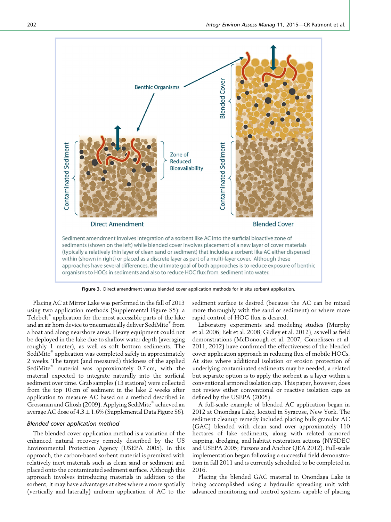

Figure 3. Direct amendment versus blended cover application methods for in situ sorbent application.

Placing AC at Mirror Lake was performed in the fall of 2013 using two application methods (Supplemental Figure S5): a Telebelt<sup>®</sup> application for the most accessible parts of the lake and an air horn device to pneumatically deliver SediMite $\degree$  from a boat and along nearshore areas. Heavy equipment could not be deployed in the lake due to shallow water depth (averaging roughly 1 meter), as well as soft bottom sediments. The SediMite® application was completed safely in approximately 2 weeks. The target (and measured) thickness of the applied SediMite<sup>®</sup> material was approximately 0.7 cm, with the material expected to integrate naturally into the surficial sediment over time. Grab samples (13 stations) were collected from the top 10 cm of sediment in the lake 2 weeks after application to measure AC based on a method described in Grossman and Ghosh (2009). Applying SediMite® achieved an average AC dose of  $4.3 \pm 1.6\%$  (Supplemental Data Figure S6).

#### Blended cover application method

The blended cover application method is a variation of the enhanced natural recovery remedy described by the US Environmental Protection Agency (USEPA 2005). In this approach, the carbon-based sorbent material is premixed with relatively inert materials such as clean sand or sediment and placed onto the contaminated sediment surface. Although this approach involves introducing materials in addition to the sorbent, it may have advantages at sites where a more spatially (vertically and laterally) uniform application of AC to the

sediment surface is desired (because the AC can be mixed more thoroughly with the sand or sediment) or where more rapid control of HOC flux is desired.

Laboratory experiments and modeling studies (Murphy et al. 2006; Eek et al. 2008; Gidley et al. 2012), as well as field demonstrations (McDonough et al. 2007; Cornelissen et al. 2011, 2012) have confirmed the effectiveness of the blended cover application approach in reducing flux of mobile HOCs. At sites where additional isolation or erosion protection of underlying contaminated sediments may be needed, a related but separate option is to apply the sorbent as a layer within a conventional armored isolation cap. This paper, however, does not review either conventional or reactive isolation caps as defined by the USEPA (2005).

A full-scale example of blended AC application began in 2012 at Onondaga Lake, located in Syracuse, New York. The sediment cleanup remedy included placing bulk granular AC (GAC) blended with clean sand over approximately 110 hectares of lake sediments, along with related armored capping, dredging, and habitat restoration actions (NYSDEC and USEPA 2005; Parsons and Anchor QEA 2012). Full-scale implementation began following a successful field demonstration in fall 2011 and is currently scheduled to be completed in 2016.

Placing the blended GAC material in Onondaga Lake is being accomplished using a hydraulic spreading unit with advanced monitoring and control systems capable of placing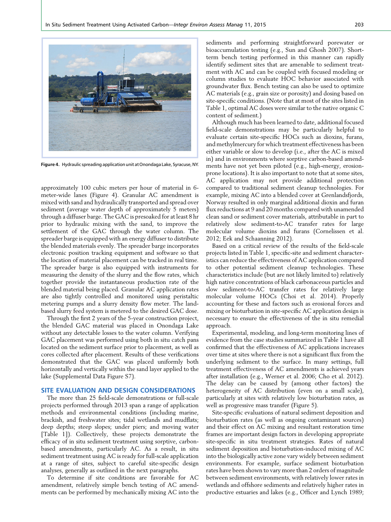

Figure 4. Hydraulic spreading application unit at Onondaga Lake, Syracuse, NY.

approximately 100 cubic meters per hour of material in 6 meter-wide lanes (Figure 4). Granular AC amendment is mixed with sand and hydraulically transported and spread over sediment (average water depth of approximately 5 meters) through a diffuser barge. The GAC is presoaked for at least 8 hr prior to hydraulic mixing with the sand, to improve the settlement of the GAC through the water column. The spreader barge is equipped with an energy diffuser to distribute the blended materials evenly. The spreader barge incorporates electronic position tracking equipment and software so that the location of material placement can be tracked in real time. The spreader barge is also equipped with instruments for measuring the density of the slurry and the flow rates, which together provide the instantaneous production rate of the blended material being placed. Granular AC application rates are also tightly controlled and monitored using peristaltic metering pumps and a slurry density flow meter. The landbased slurry feed system is metered to the desired GAC dose.

Through the first 2 years of the 5-year construction project, the blended GAC material was placed in Onondaga Lake without any detectable losses to the water column. Verifying GAC placement was performed using both in situ catch pans located on the sediment surface prior to placement, as well as cores collected after placement. Results of these verifications demonstrated that the GAC was placed uniformly both horizontally and vertically within the sand layer applied to the lake (Supplemental Data Figure S7).

# SITE EVALUATION AND DESIGN CONSIDERATIONS

The more than 25 field-scale demonstrations or full-scale projects performed through 2013 span a range of application methods and environmental conditions (including marine, brackish, and freshwater sites; tidal wetlands and mudflats; deep depths; steep slopes; under piers; and moving water [Table 1]). Collectively, these projects demonstrate the efficacy of in situ sediment treatment using sorptive, carbonbased amendments, particularly AC. As a result, in situ sediment treatment using AC is ready for full-scale application at a range of sites, subject to careful site-specific design analyses, generally as outlined in the next paragraphs.

To determine if site conditions are favorable for AC amendment, relatively simple bench testing of AC amendments can be performed by mechanically mixing AC into the

sediments and performing straightforward porewater or bioaccumulation testing (e.g., Sun and Ghosh 2007). Shortterm bench testing performed in this manner can rapidly identify sediment sites that are amenable to sediment treatment with AC and can be coupled with focused modeling or column studies to evaluate HOC behavior associated with groundwater flux. Bench testing can also be used to optimize AC materials (e.g., grain size or porosity) and dosing based on site-specific conditions. (Note that at most of the sites listed in Table 1, optimal AC doses were similar to the native organic C content of sediment.)

Although much has been learned to date, additional focused field-scale demonstrations may be particularly helpful to evaluate certain site-specific HOCs such as dioxins, furans, and methylmercury for which treatment effectiveness has been either variable or slow to develop (i.e., after the AC is mixed in) and in environments where sorptive carbon-based amendments have not yet been piloted (e.g., high-energy, erosionprone locations). It is also important to note that at some sites, AC application may not provide additional protection compared to traditional sediment cleanup technologies. For example, mixing AC into a blended cover at Grenlandsfjords, Norway resulted in only marginal additional dioxin and furan flux reductions at 9 and 20 months compared with unamended clean sand or sediment cover materials, attributable in part to relatively slow sediment-to-AC transfer rates for large molecular volume dioxins and furans (Cornelissen et al. 2012; Eek and Schaanning 2012).

Based on a critical review of the results of the field-scale projects listed in Table 1, specific-site and sediment characteristics can reduce the effectiveness of AC application compared to other potential sediment cleanup technologies. These characteristics include (but are not likely limited to) relatively high native concentrations of black carbonaceous particles and slow sediment-to-AC transfer rates for relatively large molecular volume HOCs (Choi et al. 2014). Properly accounting for these and factors such as erosional forces and mixing or bioturbation in site-specific AC application design is necessary to ensure the effectiveness of the in situ remedial approach.

Experimental, modeling, and long-term monitoring lines of evidence from the case studies summarized in Table 1 have all confirmed that the effectiveness of AC applications increases over time at sites where there is not a significant flux from the underlying sediment to the surface. In many settings, full treatment effectiveness of AC amendments is achieved years after installation (e.g., Werner et al. 2006; Cho et al. 2012). The delay can be caused by (among other factors) the heterogeneity of AC distribution (even on a small scale), particularly at sites with relatively low bioturbation rates, as well as progressive mass transfer (Figure 5).

Site-specific evaluations of natural sediment deposition and bioturbation rates (as well as ongoing contaminant sources) and their effect on AC mixing and resultant restoration time frames are important design factors in developing appropriate site-specific in situ treatment strategies. Rates of natural sediment deposition and bioturbation-induced mixing of AC into the biologically active zone vary widely between sediment environments. For example, surface sediment bioturbation rates have been shown to vary more than 2 orders of magnitude between sediment environments, with relatively lower rates in wetlands and offshore sediments and relatively higher rates in productive estuaries and lakes (e.g., Officer and Lynch 1989;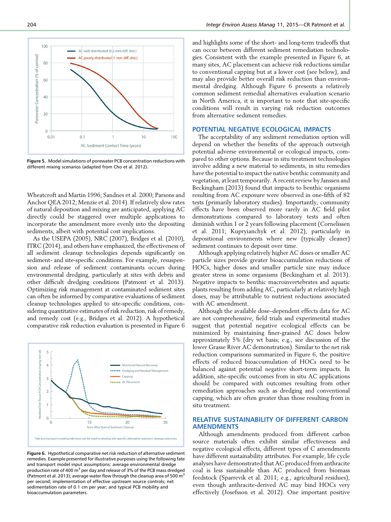

Figure 5. Model simulations of porewater PCB concentration reductions with different mixing scenarios (adapted from Cho et al. 2012).

Wheatcroft and Martin 1996; Sandnes et al. 2000; Parsons and Anchor QEA 2012; Menzie et al. 2014). If relatively slow rates of natural deposition and mixing are anticipated, applying AC directly could be staggered over multiple applications to incorporate the amendment more evenly into the depositing sediments, albeit with potential cost implications.

As the USEPA (2005), NRC (2007), Bridges et al. (2010), ITRC (2014), and others have emphasized, the effectiveness of all sediment cleanup technologies depends significantly on sediment- and site-specific conditions. For example, resuspension and release of sediment contaminants occurs during environmental dredging, particularly at sites with debris and other difficult dredging conditions (Patmont et al. 2013). Optimizing risk management at contaminated sediment sites can often be informed by comparative evaluations of sediment cleanup technologies applied to site-specific conditions, considering quantitative estimates of risk reduction, risk of remedy, and remedy cost (e.g., Bridges et al. 2012). A hypothetical comparative risk reduction evaluation is presented in Figure 6



Figure 6. Hypothetical comparative net risk reduction of alternative sediment remedies. Example presented for illustrative purposes using the following fate and transport model input assumptions: average environmental dredge production rate of 400 m<sup>3</sup> per day and release of 3% of the PCB mass dredged (Patmont et al. 2013); average water flow through the cleanup area of 500  $m<sup>3</sup>$ per second; implementation of effective upstream source controls; net sedimentation rate of 0.1 cm per year; and typical PCB mobility and bioaccumulation parameters.

and highlights some of the short- and long-term tradeoffs that can occur between different sediment remediation technologies. Consistent with the example presented in Figure 6, at many sites, AC placement can achieve risk reductions similar to conventional capping but at a lower cost (see below), and may also provide better overall risk reduction than environmental dredging. Although Figure 6 presents a relatively common sediment remedial alternatives evaluation scenario in North America, it is important to note that site-specific conditions will result in varying risk reduction outcomes from alternative sediment remedies.

## POTENTIAL NEGATIVE ECOLOGICAL IMPACTS

The acceptability of any sediment remediation option will depend on whether the benefits of the approach outweigh potential adverse environmental or ecological impacts, compared to other options. Because in situ treatment technologies involve adding a new material to sediments, in situ remedies have the potential to impact the native benthic community and vegetation, at least temporarily. A recent review by Janssen and Beckingham (2013) found that impacts to benthic organisms resulting from AC exposure were observed in one-fifth of 82 tests (primarily laboratory studies). Importantly, community effects have been observed more rarely in AC field pilot demonstrations compared to laboratory tests and often diminish within 1 or 2 years following placement (Cornelissen et al. 2011; Kupryianchyk et al. 2012), particularly in depositional environments where new (typically cleaner) sediment continues to deposit over time.

Although applying relatively higher AC doses or smaller AC particle sizes provide greater bioaccumulation reductions of HOCs, higher doses and smaller particle size may induce greater stress in some organisms (Beckingham et al. 2013). Negative impacts to benthic macroinvertebrates and aquatic plants resulting from adding AC, particularly at relatively high doses, may be attributable to nutrient reductions associated with AC amendment.

Although the available dose–dependent effects data for AC are not comprehensive, field trials and experimental studies suggest that potential negative ecological effects can be minimized by maintaining finer-grained AC doses below approximately 5% (dry wt basis; e.g., see discussion of the lower Grasse River AC demonstration). Similar to the net risk reduction comparisons summarized in Figure 6, the positive effects of reduced bioaccumulation of HOCs need to be balanced against potential negative short-term impacts. In addition, site-specific outcomes from in situ AC applications should be compared with outcomes resulting from other remediation approaches such as dredging and conventional capping, which are often greater than those resulting from in situ treatment.

# RELATIVE SUSTAINABILITY OF DIFFERENT CARBON AMENDMENTS

Although amendments produced from different carbon source materials often exhibit similar effectiveness and negative ecological effects, different types of C amendments have different sustainability attributes. For example, life cycle analyses have demonstrated that AC produced from anthracite coal is less sustainable than AC produced from biomass feedstock (Sparrevik et al. 2011; e.g., agricultural residues), even though anthracite-derived AC may bind HOCs very effectively (Josefsson et al. 2012). One important positive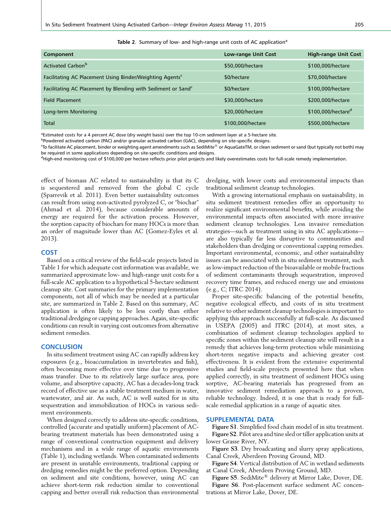| w<br>۰, | ٦<br>$\sim$ |
|---------|-------------|

|  | Table 2. Summary of low- and high-range unit costs of AC application <sup>a</sup> |  |
|--|-----------------------------------------------------------------------------------|--|
|  |                                                                                   |  |

| Component                                                                | Low-range Unit Cost | <b>High-range Unit Cost</b>    |
|--------------------------------------------------------------------------|---------------------|--------------------------------|
| Activated Carbon <sup>b</sup>                                            | \$50,000/hectare    | \$100,000/hectare              |
| Facilitating AC Placement Using Binder/Weighting Agents <sup>c</sup>     | \$0/hectare         | \$70,000/hectare               |
| Facilitating AC Placement by Blending with Sediment or Sand <sup>c</sup> | \$0/hectare         | \$100,000/hectare              |
| <b>Field Placement</b>                                                   | \$30,000/hectare    | \$200,000/hectare              |
| Long-term Monitoring                                                     | \$20,000/hectare    | \$100,000/hectare <sup>d</sup> |
| Total                                                                    | \$100,000/hectare   | \$500,000/hectare              |

a Estimated costs for a 4 percent AC dose (dry weight basis) over the top 10-cm sediment layer at a 5-hectare site.

<sup>b</sup>Powdered activated carbon (PAC) and/or granular activated carbon (GAC), depending on site-specific designs.

 $^\mathsf{c}$ To facilitate AC placement, binder or weighting agent amendments such as SediMite® or AquaGateTM, or clean sediment or sand (but typically not both) may be required in some applications depending on site-specific conditions and designs.

<sup>d</sup>High-end monitoring cost of \$100,000 per hectare reflects prior pilot projects and likely overestimates costs for full-scale remedy implementation.

effect of biomass AC related to sustainability is that its C is sequestered and removed from the global C cycle (Sparrevik et al. 2011). Even better sustainability outcomes can result from using non-activated pyrolyzed C, or "biochar" (Ahmad et al. 2014), because considerable amounts of energy are required for the activation process. However, the sorption capacity of biochars for many HOCs is more than an order of magnitude lower than AC (Gomez-Eyles et al. 2013).

#### COST

Based on a critical review of the field-scale projects listed in Table 1 for which adequate cost information was available, we summarized approximate low- and high-range unit costs for a full-scale AC application to a hypothetical 5-hectare sediment cleanup site. Cost summaries for the primary implementation components, not all of which may be needed at a particular site, are summarized in Table 2. Based on this summary, AC application is often likely to be less costly than either traditional dredging or capping approaches. Again, site-specific conditions can result in varying cost outcomes from alternative sediment remedies.

#### **CONCLUSION**

In situ sediment treatment using AC can rapidly address key exposures (e.g., bioaccumulation in invertebrates and fish), often becoming more effective over time due to progressive mass transfer. Due to its relatively large surface area, pore volume, and absorptive capacity, AC has a decades-long track record of effective use as a stable treatment medium in water, wastewater, and air. As such, AC is well suited for in situ sequestration and immobilization of HOCs in various sediment environments.

When designed correctly to address site-specific conditions, controlled (accurate and spatially uniform) placement of ACbearing treatment materials has been demonstrated using a range of conventional construction equipment and delivery mechanisms and in a wide range of aquatic environments (Table 1), including wetlands. When contaminated sediments are present in unstable environments, traditional capping or dredging remedies might be the preferred option. Depending on sediment and site conditions, however, using AC can achieve short-term risk reduction similar to conventional capping and better overall risk reduction than environmental dredging, with lower costs and environmental impacts than traditional sediment cleanup technologies.

With a growing international emphasis on sustainability, in situ sediment treatment remedies offer an opportunity to realize significant environmental benefits, while avoiding the environmental impacts often associated with more invasive sediment cleanup technologies. Less invasive remediation strategies—such as treatment using in situ AC applications are also typically far less disruptive to communities and stakeholders than dredging or conventional capping remedies. Important environmental, economic, and other sustainability issues can be associated with in situ sediment treatment, such as low-impact reduction of the bioavailable or mobile fractions of sediment contaminants through sequestration, improved recovery time frames, and reduced energy use and emissions (e.g., C; ITRC 2014).

Proper site-specific balancing of the potential benefits, negative ecological effects, and costs of in situ treatment relative to other sediment cleanup technologies is important to applying this approach successfully at full-scale. As discussed in USEPA (2005) and ITRC (2014), at most sites, a combination of sediment cleanup technologies applied to specific zones within the sediment cleanup site will result in a remedy that achieves long-term protection while minimizing short-term negative impacts and achieving greater cost effectiveness. It is evident from the extensive experimental studies and field-scale projects presented here that when applied correctly, in situ treatment of sediment HOCs using sorptive, AC-bearing materials has progressed from an innovative sediment remediation approach to a proven, reliable technology. Indeed, it is one that is ready for fullscale remedial application in a range of aquatic sites.

## SUPPLEMENTAL DATA

Figure S1. Simplified food chain model of in situ treatment. Figure S2. Pilot area and tine sled or tiller application units at lower Grasse River, NY.

Figure S3. Dry broadcasting and slurry spray applications, Canal Creek, Aberdeen Proving Ground, MD.

Figure S4. Vertical distribution of AC in wetland sediments at Canal Creek, Aberdeen Proving Ground, MD.

Figure S5. SediMite<sup>®</sup> delivery at Mirror Lake, Dover, DE. Figure S6. Post-placement surface sediment AC concentrations at Mirror Lake, Dover, DE.